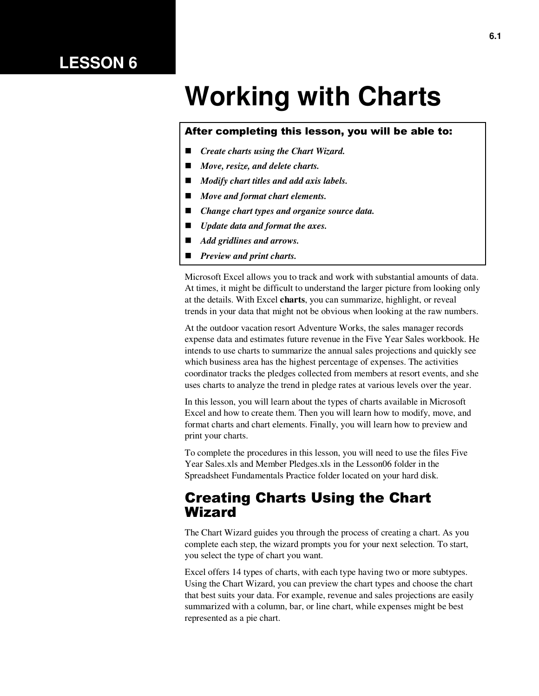## **LESSON 6**

# **Working with Charts**

#### After completing this lesson, you will be able to:

- *Create charts using the Chart Wizard.*
- *Move, resize, and delete charts.*
- *Modify chart titles and add axis labels.*
- *Move and format chart elements.*
- *Change chart types and organize source data.*
- *Update data and format the axes.*
- *Add gridlines and arrows.*
- *Preview and print charts.*

Microsoft Excel allows you to track and work with substantial amounts of data. At times, it might be difficult to understand the larger picture from looking only at the details. With Excel **charts**, you can summarize, highlight, or reveal trends in your data that might not be obvious when looking at the raw numbers.

At the outdoor vacation resort Adventure Works, the sales manager records expense data and estimates future revenue in the Five Year Sales workbook. He intends to use charts to summarize the annual sales projections and quickly see which business area has the highest percentage of expenses. The activities coordinator tracks the pledges collected from members at resort events, and she uses charts to analyze the trend in pledge rates at various levels over the year.

In this lesson, you will learn about the types of charts available in Microsoft Excel and how to create them. Then you will learn how to modify, move, and format charts and chart elements. Finally, you will learn how to preview and print your charts.

To complete the procedures in this lesson, you will need to use the files Five Year Sales.xls and Member Pledges.xls in the Lesson06 folder in the Spreadsheet Fundamentals Practice folder located on your hard disk.

#### Creating Charts Using the Chart Wizard

The Chart Wizard guides you through the process of creating a chart. As you complete each step, the wizard prompts you for your next selection. To start, you select the type of chart you want.

Excel offers 14 types of charts, with each type having two or more subtypes. Using the Chart Wizard, you can preview the chart types and choose the chart that best suits your data. For example, revenue and sales projections are easily summarized with a column, bar, or line chart, while expenses might be best represented as a pie chart.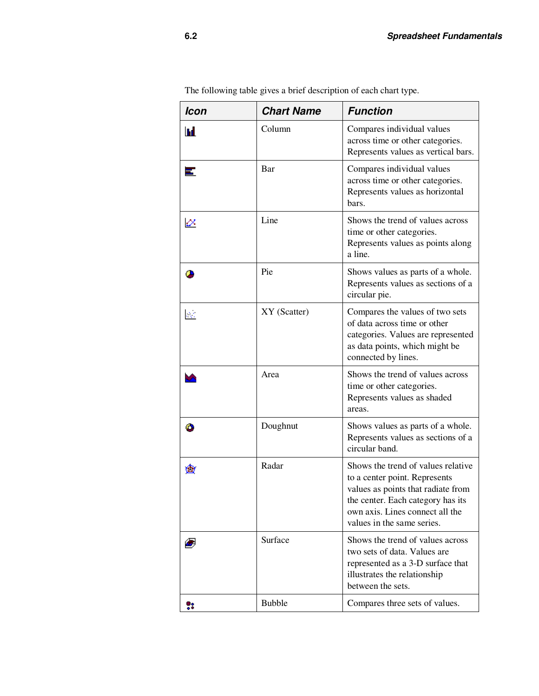| <b>Icon</b> | <b>Chart Name</b> | <b>Function</b>                                                                                                                                                                                                 |
|-------------|-------------------|-----------------------------------------------------------------------------------------------------------------------------------------------------------------------------------------------------------------|
| Ш           | Column            | Compares individual values<br>across time or other categories.<br>Represents values as vertical bars.                                                                                                           |
|             | Bar               | Compares individual values<br>across time or other categories.<br>Represents values as horizontal<br>bars.                                                                                                      |
| ⇙           | Line              | Shows the trend of values across<br>time or other categories.<br>Represents values as points along<br>a line.                                                                                                   |
|             | Pie               | Shows values as parts of a whole.<br>Represents values as sections of a<br>circular pie.                                                                                                                        |
| Иć,         | XY (Scatter)      | Compares the values of two sets<br>of data across time or other<br>categories. Values are represented<br>as data points, which might be<br>connected by lines.                                                  |
|             | Area              | Shows the trend of values across<br>time or other categories.<br>Represents values as shaded<br>areas.                                                                                                          |
|             | Doughnut          | Shows values as parts of a whole.<br>Represents values as sections of a<br>circular band.                                                                                                                       |
|             | Radar             | Shows the trend of values relative<br>to a center point. Represents<br>values as points that radiate from<br>the center. Each category has its<br>own axis. Lines connect all the<br>values in the same series. |
|             | Surface           | Shows the trend of values across<br>two sets of data. Values are<br>represented as a 3-D surface that<br>illustrates the relationship<br>between the sets.                                                      |
|             | <b>Bubble</b>     | Compares three sets of values.                                                                                                                                                                                  |

The following table gives a brief description of each chart type.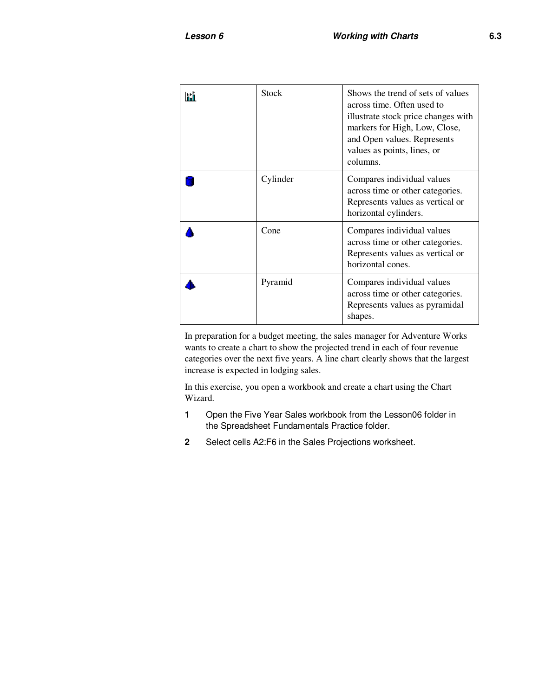| Stock    | Shows the trend of sets of values<br>across time. Often used to<br>illustrate stock price changes with<br>markers for High, Low, Close,<br>and Open values. Represents<br>values as points, lines, or<br>columns. |
|----------|-------------------------------------------------------------------------------------------------------------------------------------------------------------------------------------------------------------------|
| Cylinder | Compares individual values<br>across time or other categories.<br>Represents values as vertical or<br>horizontal cylinders.                                                                                       |
| Cone     | Compares individual values<br>across time or other categories.<br>Represents values as vertical or<br>horizontal cones.                                                                                           |
| Pyramid  | Compares individual values<br>across time or other categories.<br>Represents values as pyramidal<br>shapes.                                                                                                       |

In preparation for a budget meeting, the sales manager for Adventure Works wants to create a chart to show the projected trend in each of four revenue categories over the next five years. A line chart clearly shows that the largest increase is expected in lodging sales.

In this exercise, you open a workbook and create a chart using the Chart Wizard.

- **1** Open the Five Year Sales workbook from the Lesson06 folder in the Spreadsheet Fundamentals Practice folder.
- **2** Select cells A2:F6 in the Sales Projections worksheet.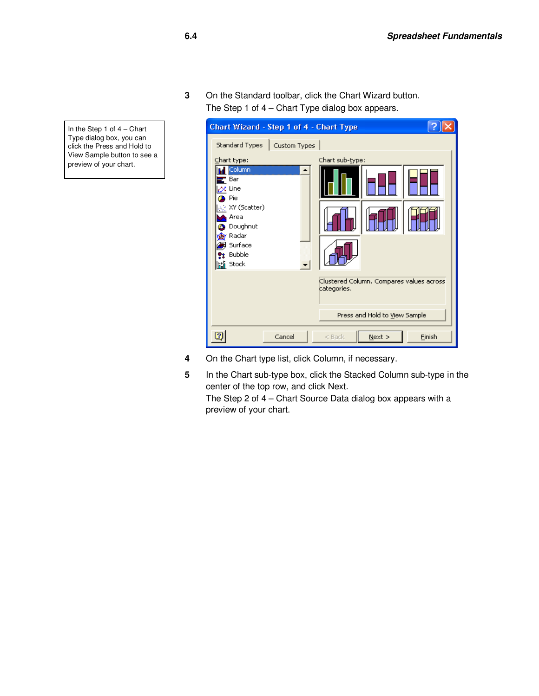**3** On the Standard toolbar, click the Chart Wizard button. The Step 1 of 4 – Chart Type dialog box appears.



- **4** On the Chart type list, click Column, if necessary.
- **5** In the Chart sub-type box, click the Stacked Column sub-type in the center of the top row, and click Next. The Step 2 of 4 – Chart Source Data dialog box appears with a preview of your chart.

In the Step 1 of 4 – Chart Type dialog box, you can click the Press and Hold to View Sample button to see a preview of your chart.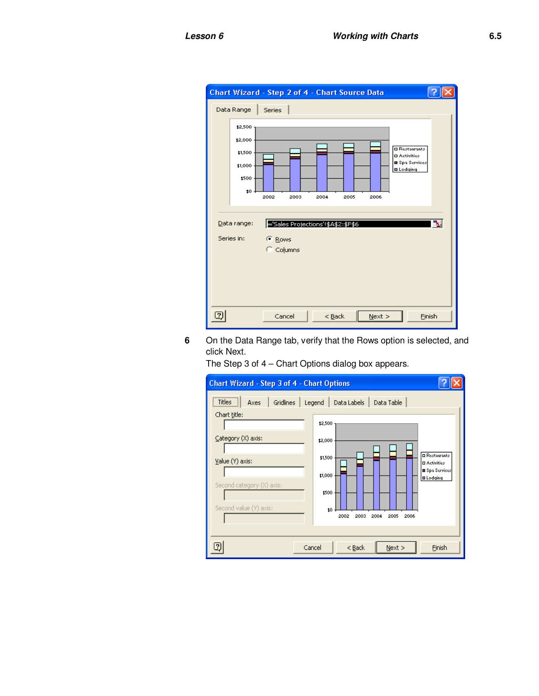| Chart Wizard - Step 2 of 4 - Chart Source Data                                     |                                |                                    |           |                                                                                   |
|------------------------------------------------------------------------------------|--------------------------------|------------------------------------|-----------|-----------------------------------------------------------------------------------|
| Data Range<br>\$2,500<br>\$2,000<br>\$1,500<br>\$1,000<br>\$500<br>10 <sub>1</sub> | Series<br>2002<br>2003         | 2004<br>2005                       | 2006      | <b>O</b> Restaurants<br><b>D</b> Activities<br>■ Spa Services<br><b>O</b> Lodging |
| Data range:<br>Series in:                                                          | <sup>6</sup> Rows<br>C Columns | ='Sales Projections'!\$A\$2:\$F\$6 |           | ×                                                                                 |
|                                                                                    | Cancel                         | $<$ Back                           | $N$ ext > | Finish                                                                            |

**6** On the Data Range tab, verify that the Rows option is selected, and click Next.

The Step 3 of 4 – Chart Options dialog box appears.

| Chart Wizard - Step 3 of 4 - Chart Options                                                                                                                                                                                                                                                                                                                                   |  |
|------------------------------------------------------------------------------------------------------------------------------------------------------------------------------------------------------------------------------------------------------------------------------------------------------------------------------------------------------------------------------|--|
| <br>Titles<br>Data Table<br>Gridlines<br>Data Labels<br>Legend<br>Axes<br>Chart title:<br>\$2,500<br>Category (X) axis:<br>\$2,000<br><b>O</b> Restaurants<br>\$1,500<br>Value (Y) axis:<br><b>D</b> Activities<br>Spa Services<br>\$1,000<br><b>O</b> Lodging<br>Second category (X) axis:<br>\$500<br>Second value (Y) axis:<br>10<br>2002<br>2003<br>2004<br>2005<br>2006 |  |
| 7<br>Cancel<br>$<$ Back<br>Finish<br>Next                                                                                                                                                                                                                                                                                                                                    |  |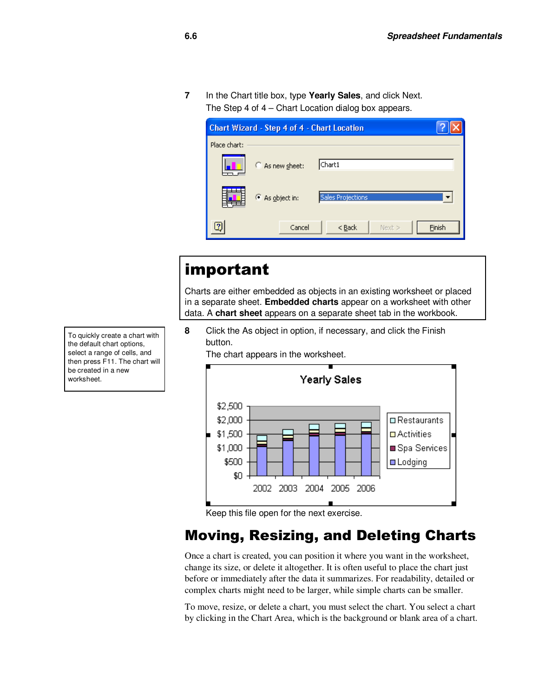**7** In the Chart title box, type **Yearly Sales**, and click Next. The Step 4 of 4 – Chart Location dialog box appears.

| Chart Wizard - Step 4 of 4 - Chart Location |                 |                          |        |  |  |
|---------------------------------------------|-----------------|--------------------------|--------|--|--|
| Place chart:                                |                 |                          |        |  |  |
|                                             | C As new sheet: | Chart1                   |        |  |  |
|                                             | C As object in: | <b>Sales Projections</b> |        |  |  |
|                                             | Cancel          | Next ><br>$<$ Back       | Finish |  |  |

## important

Charts are either embedded as objects in an existing worksheet or placed in a separate sheet. **Embedded charts** appear on a worksheet with other data. A **chart sheet** appears on a separate sheet tab in the workbook.

**8** Click the As object in option, if necessary, and click the Finish button.

The chart appears in the worksheet.



Keep this file open for the next exercise.

## Moving, Resizing, and Deleting Charts

Once a chart is created, you can position it where you want in the worksheet, change its size, or delete it altogether. It is often useful to place the chart just before or immediately after the data it summarizes. For readability, detailed or complex charts might need to be larger, while simple charts can be smaller.

To move, resize, or delete a chart, you must select the chart. You select a chart by clicking in the Chart Area, which is the background or blank area of a chart.

To quickly create a chart with the default chart options, select a range of cells, and then press F11. The chart will be created in a new worksheet.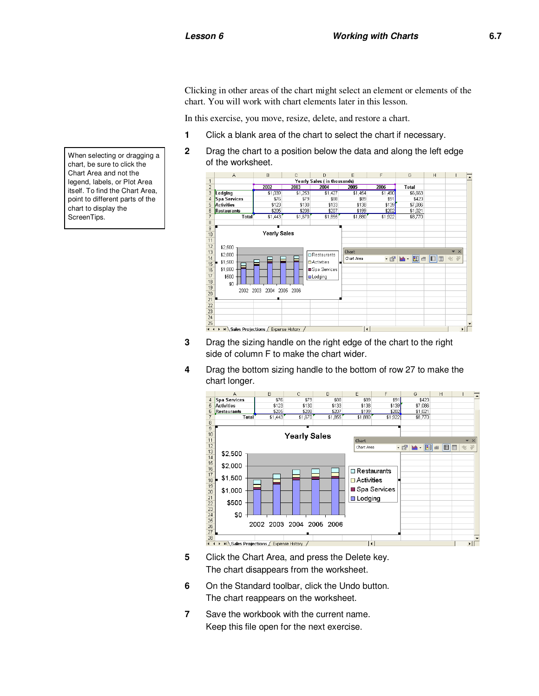Clicking in other areas of the chart might select an element or elements of the chart. You will work with chart elements later in this lesson.

In this exercise, you move, resize, delete, and restore a chart.

- **1** Click a blank area of the chart to select the chart if necessary.
- **2** Drag the chart to a position below the data and along the left edge of the worksheet.



- side of column F to make the chart wider.
- **4** Drag the bottom sizing handle to the bottom of row 27 to make the chart longer.



- **5** Click the Chart Area, and press the Delete key. The chart disappears from the worksheet.
- **6** On the Standard toolbar, click the Undo button. The chart reappears on the worksheet.
- **7** Save the workbook with the current name. Keep this file open for the next exercise.

When selecting or dragging a chart, be sure to click the Chart Area and not the legend, labels, or Plot Area itself. To find the Chart Area, point to different parts of the chart to display the ScreenTips.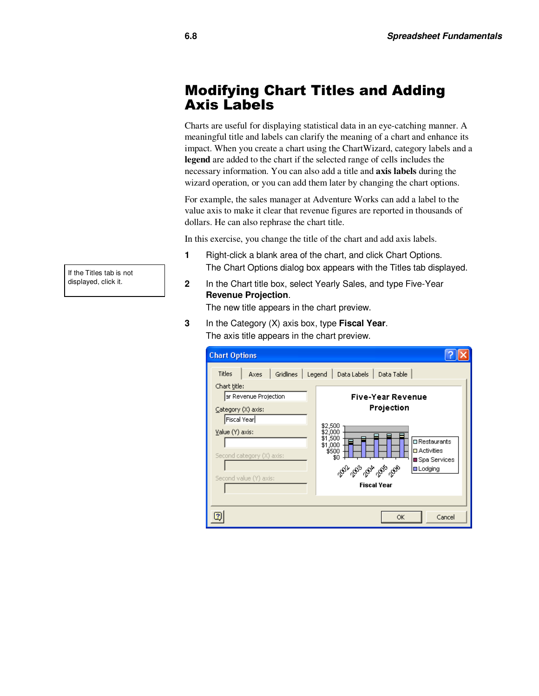#### Modifying Chart Titles and Adding Axis Labels

Charts are useful for displaying statistical data in an eye-catching manner. A meaningful title and labels can clarify the meaning of a chart and enhance its impact. When you create a chart using the ChartWizard, category labels and a **legend** are added to the chart if the selected range of cells includes the necessary information. You can also add a title and **axis labels** during the wizard operation, or you can add them later by changing the chart options.

For example, the sales manager at Adventure Works can add a label to the value axis to make it clear that revenue figures are reported in thousands of dollars. He can also rephrase the chart title.

In this exercise, you change the title of the chart and add axis labels.

- **1** Right-click a blank area of the chart, and click Chart Options. The Chart Options dialog box appears with the Titles tab displayed.
- **2** In the Chart title box, select Yearly Sales, and type Five-Year **Revenue Projection**.

The new title appears in the chart preview.

**3** In the Category (X) axis box, type **Fiscal Year**. The axis title appears in the chart preview.

| <b>Chart Options</b>                  |      |           |                                          |                                  |                                            |
|---------------------------------------|------|-----------|------------------------------------------|----------------------------------|--------------------------------------------|
| <b>Titles</b>                         | Axes | Gridlines | Legend                                   | Data Labels                      | Data Table                                 |
| Chart title:<br>ar Revenue Projection |      |           |                                          |                                  | <b>Five-Year Revenue</b>                   |
| Category (X) axis:<br>Fiscal Year     |      |           |                                          |                                  | Projection                                 |
| Value(Y) axis:                        |      |           | \$2,500<br>\$2,000<br>\$1,500<br>\$1,000 |                                  | $\square$ Restaurants                      |
| Second category (X) axis:             |      |           |                                          | \$500<br>\$0                     | $\Box$ Activities<br><b>■ Spa Services</b> |
| Second value (Y) axis:                |      |           |                                          | <sup>య</sup> ి స్కూర్కు స్కూర్కు | <b>□</b> Lodging<br><b>Fiscal Year</b>     |
|                                       |      |           |                                          |                                  |                                            |
|                                       |      |           |                                          |                                  | Cancel<br>ОK                               |

If the Titles tab is not displayed, click it.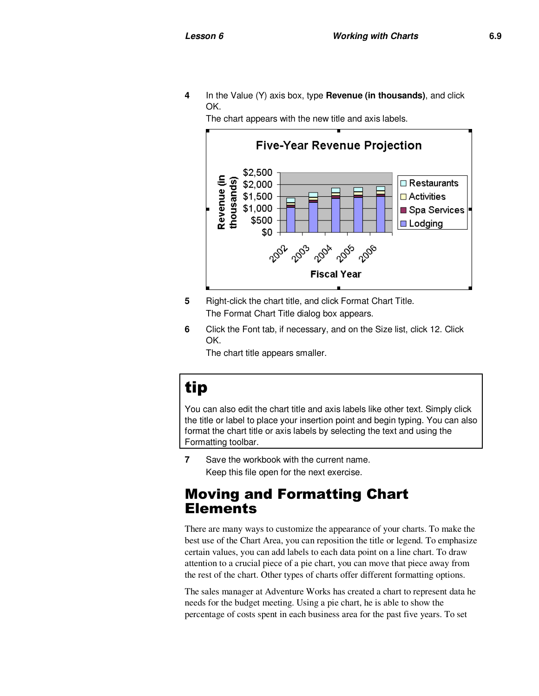**4** In the Value (Y) axis box, type **Revenue (in thousands)**, and click OK.

The chart appears with the new title and axis labels.



- **5** Right-click the chart title, and click Format Chart Title. The Format Chart Title dialog box appears.
- **6** Click the Font tab, if necessary, and on the Size list, click 12. Click OK.

The chart title appears smaller.

## tip

You can also edit the chart title and axis labels like other text. Simply click the title or label to place your insertion point and begin typing. You can also format the chart title or axis labels by selecting the text and using the Formatting toolbar.

**7** Save the workbook with the current name. Keep this file open for the next exercise.

#### Moving and Formatting Chart Elements

There are many ways to customize the appearance of your charts. To make the best use of the Chart Area, you can reposition the title or legend. To emphasize certain values, you can add labels to each data point on a line chart. To draw attention to a crucial piece of a pie chart, you can move that piece away from the rest of the chart. Other types of charts offer different formatting options.

The sales manager at Adventure Works has created a chart to represent data he needs for the budget meeting. Using a pie chart, he is able to show the percentage of costs spent in each business area for the past five years. To set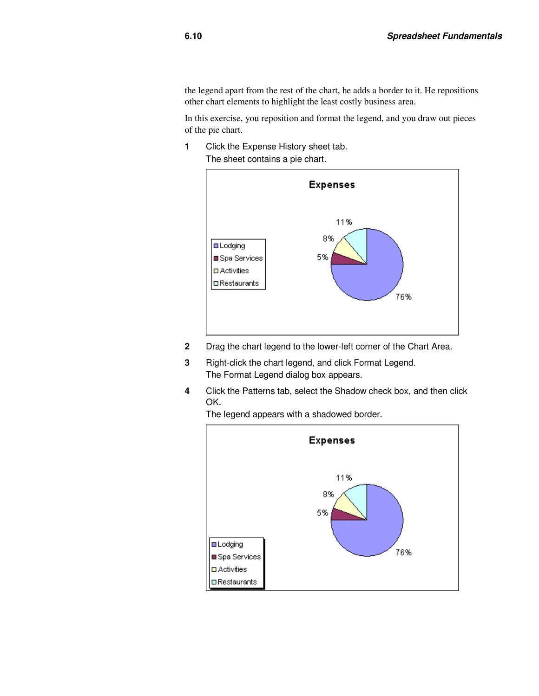the legend apart from the rest of the chart, he adds a border to it. He repositions other chart elements to highlight the least costly business area.

In this exercise, you reposition and format the legend, and you draw out pieces of the pie chart.

**1** Click the Expense History sheet tab. The sheet contains a pie chart.



- **2** Drag the chart legend to the lower-left corner of the Chart Area.
- **3** Right-click the chart legend, and click Format Legend. The Format Legend dialog box appears.
- **4** Click the Patterns tab, select the Shadow check box, and then click OK.



The legend appears with a shadowed border.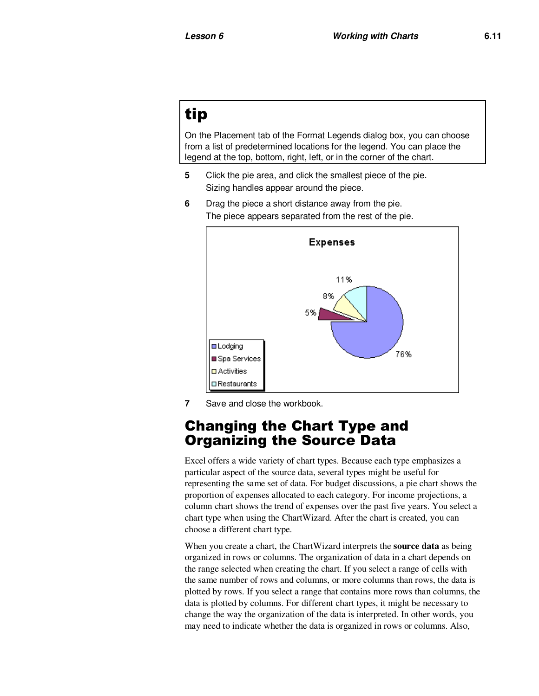## tip

On the Placement tab of the Format Legends dialog box, you can choose from a list of predetermined locations for the legend. You can place the legend at the top, bottom, right, left, or in the corner of the chart.

- **5** Click the pie area, and click the smallest piece of the pie. Sizing handles appear around the piece.
- **6** Drag the piece a short distance away from the pie. The piece appears separated from the rest of the pie.



**7** Save and close the workbook.

#### Changing the Chart Type and Organizing the Source Data

Excel offers a wide variety of chart types. Because each type emphasizes a particular aspect of the source data, several types might be useful for representing the same set of data. For budget discussions, a pie chart shows the proportion of expenses allocated to each category. For income projections, a column chart shows the trend of expenses over the past five years. You select a chart type when using the ChartWizard. After the chart is created, you can choose a different chart type.

When you create a chart, the ChartWizard interprets the **source data** as being organized in rows or columns. The organization of data in a chart depends on the range selected when creating the chart. If you select a range of cells with the same number of rows and columns, or more columns than rows, the data is plotted by rows. If you select a range that contains more rows than columns, the data is plotted by columns. For different chart types, it might be necessary to change the way the organization of the data is interpreted. In other words, you may need to indicate whether the data is organized in rows or columns. Also,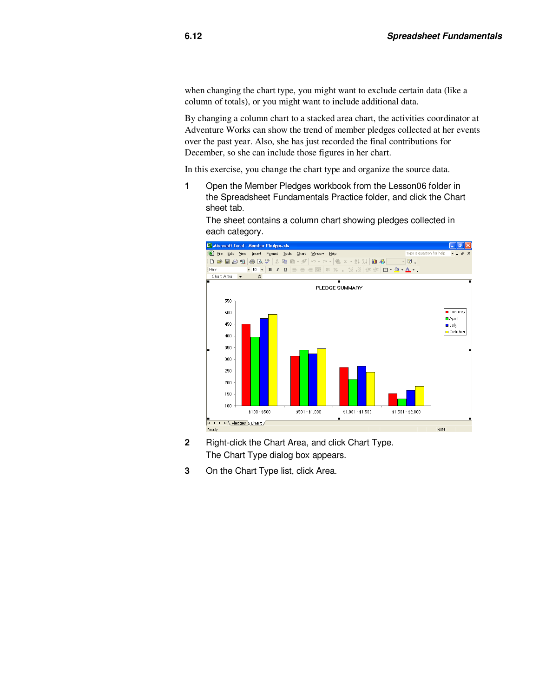when changing the chart type, you might want to exclude certain data (like a column of totals), or you might want to include additional data.

By changing a column chart to a stacked area chart, the activities coordinator at Adventure Works can show the trend of member pledges collected at her events over the past year. Also, she has just recorded the final contributions for December, so she can include those figures in her chart.

In this exercise, you change the chart type and organize the source data.

**1** Open the Member Pledges workbook from the Lesson06 folder in the Spreadsheet Fundamentals Practice folder, and click the Chart sheet tab.



The sheet contains a column chart showing pledges collected in each category.

- **2** Right-click the Chart Area, and click Chart Type. The Chart Type dialog box appears.
- **3** On the Chart Type list, click Area.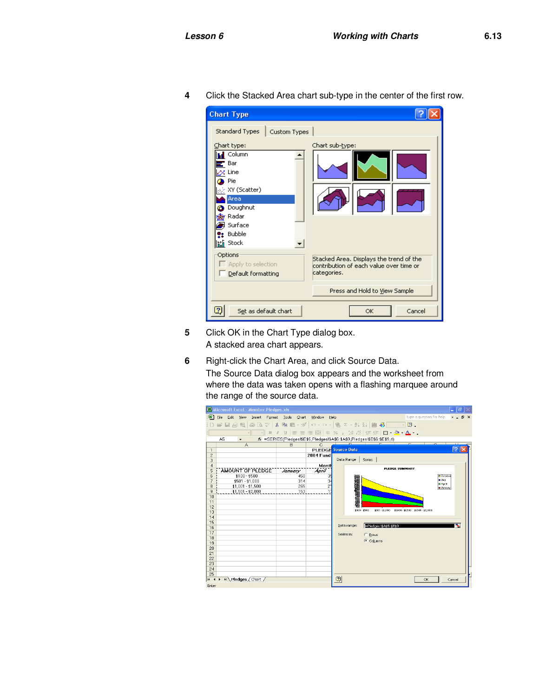| <b>Chart Type</b><br>Standard Types<br>Custom Types                                                                                  |                                                                                                   |
|--------------------------------------------------------------------------------------------------------------------------------------|---------------------------------------------------------------------------------------------------|
| Chart type:<br>Column<br>Bar<br>x Line<br>Pie<br>; XY (Scatter).<br>Area<br>Doughnut<br>Radar<br>Surface<br>Bubble<br><b>臨</b> Stock | Chart sub-type:                                                                                   |
| Options<br>Apply to selection<br>Default formatting                                                                                  | Stacked Area. Displays the trend of the<br>contribution of each value over time or<br>categories. |
|                                                                                                                                      | Press and Hold to View Sample                                                                     |
| 2<br>Set as default chart                                                                                                            | OK<br>Cancel                                                                                      |

**4** Click the Stacked Area chart sub-type in the center of the first row.

- **5** Click OK in the Chart Type dialog box. A stacked area chart appears.
- **6** Right-click the Chart Area, and click Source Data. The Source Data dialog box appears and the worksheet from where the data was taken opens with a flashing marquee around the range of the source data.

|                     | Microsoft Excel - Member Pledges.xls          |                       |                  | $\sigma$ $\times$                                                       |  |  |  |
|---------------------|-----------------------------------------------|-----------------------|------------------|-------------------------------------------------------------------------|--|--|--|
| 国]                  | File<br>Edit<br>View<br>Insert<br>Format      | <b>Tools</b><br>Chart | Window<br>Help   | Type a question for help<br>$\theta$<br>$\mathsf{x}$                    |  |  |  |
|                     | ■ → 第<br>$\mathbf{r} \sqcup \mathbf{r}$<br>图画 |                       |                  |                                                                         |  |  |  |
|                     | B                                             |                       |                  |                                                                         |  |  |  |
|                     | A5<br>$\overline{\phantom{a}}$                |                       |                  | f =SERIES(Pledges!\$E\$5,Pledges!\$A\$6:\$A\$9,Pledges!\$E\$6:\$E\$9,4) |  |  |  |
|                     | A                                             | B                     | C                | $\overline{\phantom{1}}$                                                |  |  |  |
| $\mathbf{1}$        |                                               |                       |                  | $\overline{?}$<br><b>PLEDGE Source Data</b>                             |  |  |  |
| $\overline{c}$      |                                               |                       | <b>2004 Fund</b> |                                                                         |  |  |  |
| 3                   |                                               |                       |                  | Data Range<br><b>Series</b>                                             |  |  |  |
| $\overline{4}$<br>5 | AMOUNT OF PLEDGE                              |                       | Month            | <b>PLEDGE SUMMARY</b>                                                   |  |  |  |
| ĥ                   | $$100 - $500$                                 | January<br>450        | April<br>3!      | <b>D</b> October                                                        |  |  |  |
| $\overline{z}$      | $$501 - $1,000$                               | 314                   | 3                | <b>B</b> July                                                           |  |  |  |
| 8                   | $$1,001 - $1,500$                             | 265                   | $\overline{c}$   | <b>D</b> April<br><b>B</b> January                                      |  |  |  |
| $\overline{9}$      | $$1,501 - $2,000$                             | 153                   |                  |                                                                         |  |  |  |
| 10                  |                                               |                       |                  | 100727-00945                                                            |  |  |  |
| 11                  |                                               |                       |                  |                                                                         |  |  |  |
| 12                  |                                               |                       |                  | \$100 - \$500<br>\$501-\$1,000 \$1,001-\$1,500 \$1,501-\$2,000          |  |  |  |
| 13<br>14            |                                               |                       |                  |                                                                         |  |  |  |
| 15                  |                                               |                       |                  |                                                                         |  |  |  |
| 16                  |                                               |                       |                  | ъ.<br>Data range:<br>Pledges!\$A\$5:\$E\$9                              |  |  |  |
| 17                  |                                               |                       |                  | Series in:                                                              |  |  |  |
| 18                  |                                               |                       |                  | C Rows                                                                  |  |  |  |
| 19                  |                                               |                       |                  | Columns                                                                 |  |  |  |
| 20                  |                                               |                       |                  |                                                                         |  |  |  |
| 21                  |                                               |                       |                  |                                                                         |  |  |  |
| 22<br>23            |                                               |                       |                  |                                                                         |  |  |  |
| 24                  |                                               |                       |                  |                                                                         |  |  |  |
| 25                  |                                               |                       |                  |                                                                         |  |  |  |
| $14 - 4$            | H Pledges / Chart /                           |                       |                  | $\vert$<br>OK<br>Cancel                                                 |  |  |  |
| Enter               |                                               |                       |                  |                                                                         |  |  |  |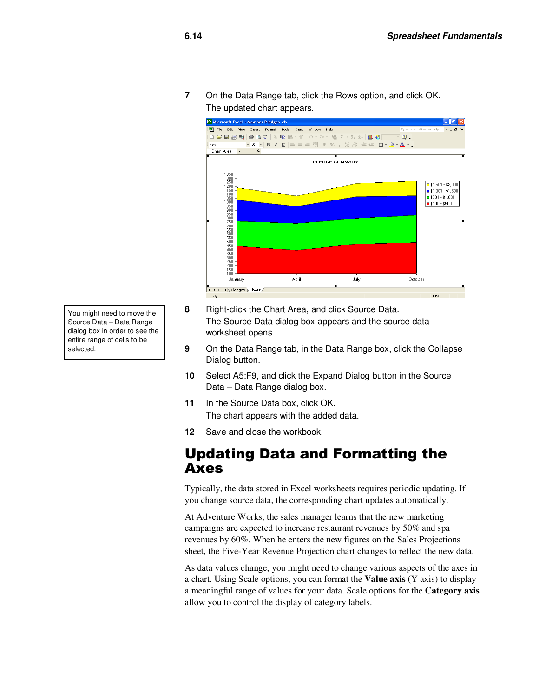**7** On the Data Range tab, click the Rows option, and click OK. The updated chart appears.



- You might need to move the Source Data – Data Range dialog box in order to see the entire range of cells to be selected.
- **8** Right-click the Chart Area, and click Source Data. The Source Data dialog box appears and the source data worksheet opens.
- **9** On the Data Range tab, in the Data Range box, click the Collapse Dialog button.
- **10** Select A5:F9, and click the Expand Dialog button in the Source Data – Data Range dialog box.
- **11** In the Source Data box, click OK. The chart appears with the added data.
- **12** Save and close the workbook.

#### Updating Data and Formatting the Axes

Typically, the data stored in Excel worksheets requires periodic updating. If you change source data, the corresponding chart updates automatically.

At Adventure Works, the sales manager learns that the new marketing campaigns are expected to increase restaurant revenues by 50% and spa revenues by 60%. When he enters the new figures on the Sales Projections sheet, the Five-Year Revenue Projection chart changes to reflect the new data.

As data values change, you might need to change various aspects of the axes in a chart. Using Scale options, you can format the **Value axis** (Y axis) to display a meaningful range of values for your data. Scale options for the **Category axis** allow you to control the display of category labels.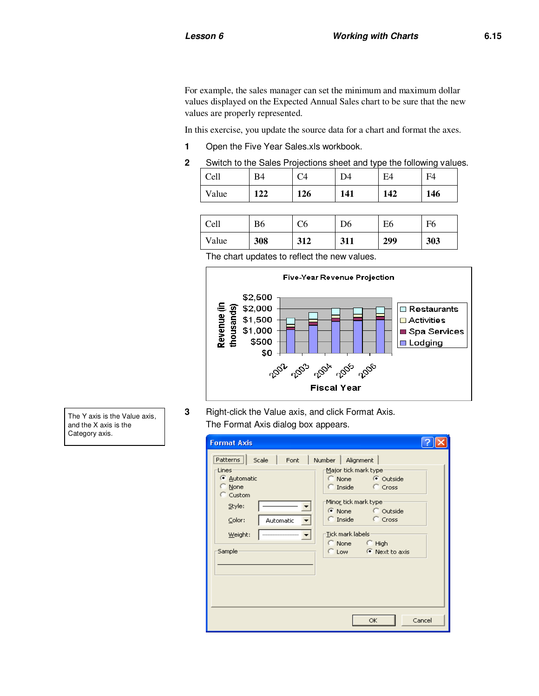For example, the sales manager can set the minimum and maximum dollar values displayed on the Expected Annual Sales chart to be sure that the new values are properly represented.

In this exercise, you update the source data for a chart and format the axes.

- **1** Open the Five Year Sales.xls workbook.
- **2** Switch to the Sales Projections sheet and type the following values.

| Cell  | B4  |     | D4  | E4  | $E\Delta$ |
|-------|-----|-----|-----|-----|-----------|
| Value | 122 | 126 | 141 | 142 | 146       |

| Cell  | B6  | C6  | D6  | E6  | F6  |
|-------|-----|-----|-----|-----|-----|
| Value | 308 | 312 | 311 | 299 | 303 |

The chart updates to reflect the new values.



**3** Right-click the Value axis, and click Format Axis. The Format Axis dialog box appears.

| <b>Format Axis</b>                                                                                                                           |                                                                                                                                                                                                                           |
|----------------------------------------------------------------------------------------------------------------------------------------------|---------------------------------------------------------------------------------------------------------------------------------------------------------------------------------------------------------------------------|
| $ $ Patterns $ $<br>Scale<br>Font<br><b>Lines</b><br>C Automatic<br>C None<br>C Custom<br>Style:<br>Color:<br>Automatic<br>Weight:<br>Sample | Number   Alignment<br>Major tick mark type:<br>C None C Outside<br>C Inside C Cross<br>Mino <u>r</u> tick mark type:<br>C None C Outside<br>C Inside C Cross<br>Tick mark labels<br>C None C High<br>C Low C Next to axis |
|                                                                                                                                              | Cancel<br>OK.                                                                                                                                                                                                             |

The Y axis is the Value axis, and the X axis is the Category axis.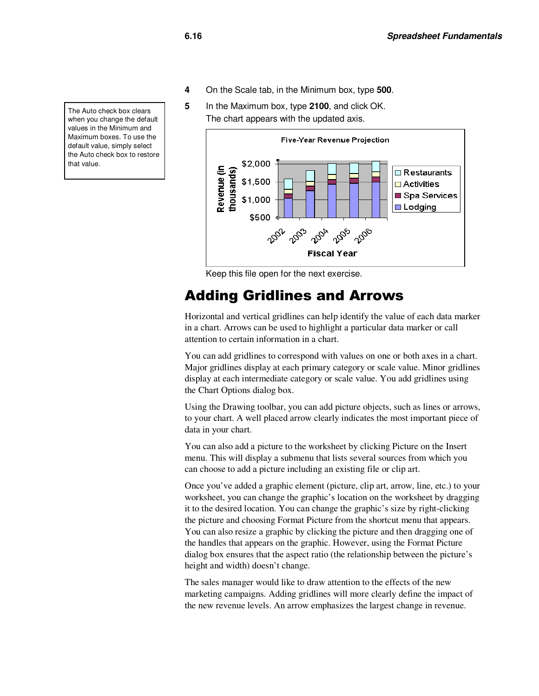- **4** On the Scale tab, in the Minimum box, type **500**.
- **5** In the Maximum box, type **2100**, and click OK. The chart appears with the updated axis.



Keep this file open for the next exercise.

#### Adding Gridlines and Arrows

Horizontal and vertical gridlines can help identify the value of each data marker in a chart. Arrows can be used to highlight a particular data marker or call attention to certain information in a chart.

You can add gridlines to correspond with values on one or both axes in a chart. Major gridlines display at each primary category or scale value. Minor gridlines display at each intermediate category or scale value. You add gridlines using the Chart Options dialog box.

Using the Drawing toolbar, you can add picture objects, such as lines or arrows, to your chart. A well placed arrow clearly indicates the most important piece of data in your chart.

You can also add a picture to the worksheet by clicking Picture on the Insert menu. This will display a submenu that lists several sources from which you can choose to add a picture including an existing file or clip art.

Once you've added a graphic element (picture, clip art, arrow, line, etc.) to your worksheet, you can change the graphic's location on the worksheet by dragging it to the desired location. You can change the graphic's size by right-clicking the picture and choosing Format Picture from the shortcut menu that appears. You can also resize a graphic by clicking the picture and then dragging one of the handles that appears on the graphic. However, using the Format Picture dialog box ensures that the aspect ratio (the relationship between the picture's height and width) doesn't change.

The sales manager would like to draw attention to the effects of the new marketing campaigns. Adding gridlines will more clearly define the impact of the new revenue levels. An arrow emphasizes the largest change in revenue.

The Auto check box clears when you change the default values in the Minimum and Maximum boxes. To use the default value, simply select the Auto check box to restore that value.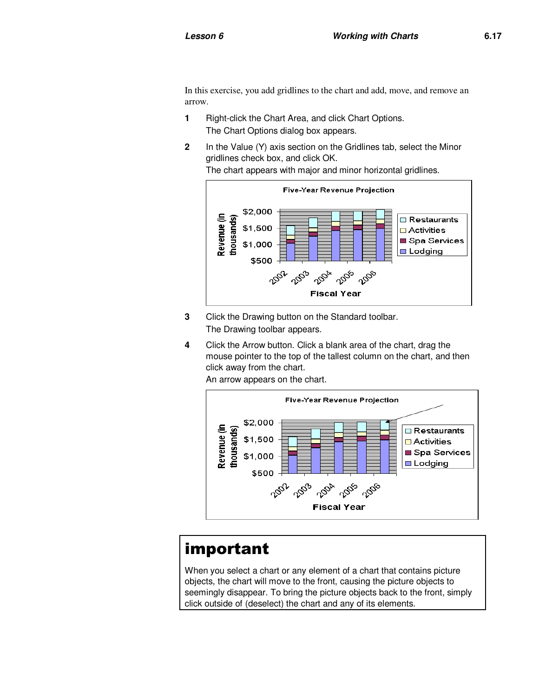In this exercise, you add gridlines to the chart and add, move, and remove an arrow.

- **1** Right-click the Chart Area, and click Chart Options. The Chart Options dialog box appears.
- **2** In the Value (Y) axis section on the Gridlines tab, select the Minor gridlines check box, and click OK.

The chart appears with major and minor horizontal gridlines.



- **3** Click the Drawing button on the Standard toolbar. The Drawing toolbar appears.
- **4** Click the Arrow button. Click a blank area of the chart, drag the mouse pointer to the top of the tallest column on the chart, and then click away from the chart.

An arrow appears on the chart.



## important

When you select a chart or any element of a chart that contains picture objects, the chart will move to the front, causing the picture objects to seemingly disappear. To bring the picture objects back to the front, simply click outside of (deselect) the chart and any of its elements.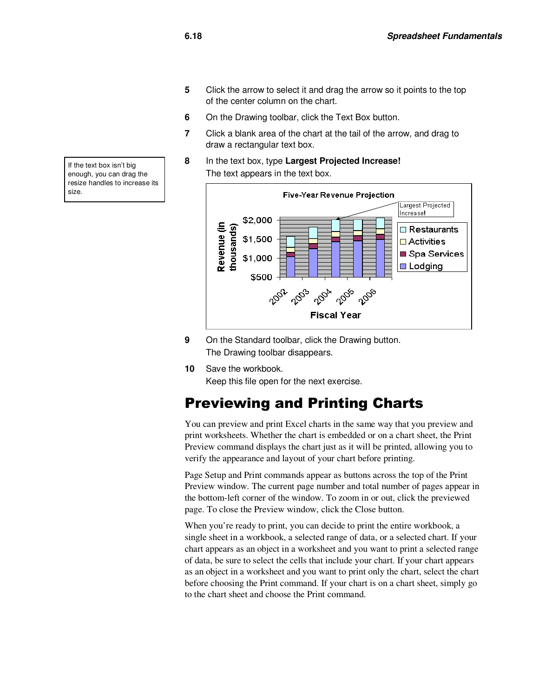- **5** Click the arrow to select it and drag the arrow so it points to the top of the center column on the chart.
- **6** On the Drawing toolbar, click the Text Box button.
- **7** Click a blank area of the chart at the tail of the arrow, and drag to draw a rectangular text box.
- **8** In the text box, type **Largest Projected Increase!** The text appears in the text box.



- **9** On the Standard toolbar, click the Drawing button. The Drawing toolbar disappears.
- **10** Save the workbook.

Keep this file open for the next exercise.

### Previewing and Printing Charts

You can preview and print Excel charts in the same way that you preview and print worksheets. Whether the chart is embedded or on a chart sheet, the Print Preview command displays the chart just as it will be printed, allowing you to verify the appearance and layout of your chart before printing.

Page Setup and Print commands appear as buttons across the top of the Print Preview window. The current page number and total number of pages appear in the bottom-left corner of the window. To zoom in or out, click the previewed page. To close the Preview window, click the Close button.

When you're ready to print, you can decide to print the entire workbook, a single sheet in a workbook, a selected range of data, or a selected chart. If your chart appears as an object in a worksheet and you want to print a selected range of data, be sure to select the cells that include your chart. If your chart appears as an object in a worksheet and you want to print only the chart, select the chart before choosing the Print command. If your chart is on a chart sheet, simply go to the chart sheet and choose the Print command.

If the text box isn't big enough, you can drag the resize handles to increase its size.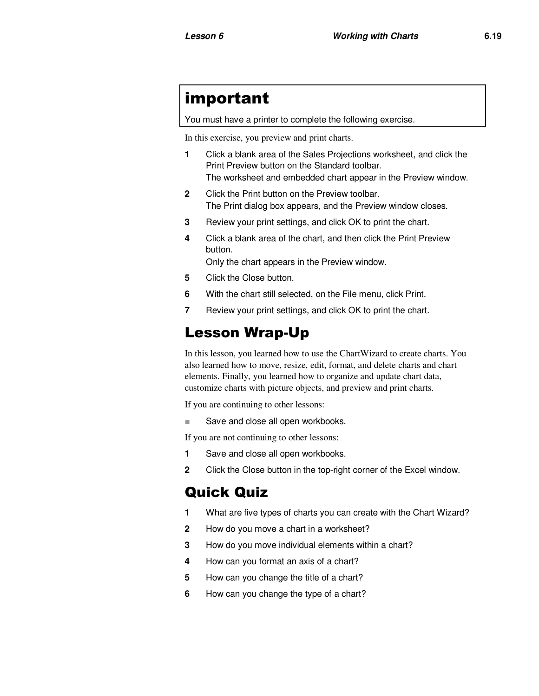## important

You must have a printer to complete the following exercise.

In this exercise, you preview and print charts.

- **1** Click a blank area of the Sales Projections worksheet, and click the Print Preview button on the Standard toolbar. The worksheet and embedded chart appear in the Preview window.
- **2** Click the Print button on the Preview toolbar. The Print dialog box appears, and the Preview window closes.
- **3** Review your print settings, and click OK to print the chart.
- **4** Click a blank area of the chart, and then click the Print Preview button.

Only the chart appears in the Preview window.

- **5** Click the Close button.
- **6** With the chart still selected, on the File menu, click Print.
- **7** Review your print settings, and click OK to print the chart.

## Lesson Wrap-Up

In this lesson, you learned how to use the ChartWizard to create charts. You also learned how to move, resize, edit, format, and delete charts and chart elements. Finally, you learned how to organize and update chart data, customize charts with picture objects, and preview and print charts.

If you are continuing to other lessons:

■ Save and close all open workbooks.

If you are not continuing to other lessons:

- **1** Save and close all open workbooks.
- **2** Click the Close button in the top-right corner of the Excel window.

### Quick Quiz

- **1** What are five types of charts you can create with the Chart Wizard?
- **2** How do you move a chart in a worksheet?
- **3** How do you move individual elements within a chart?
- **4** How can you format an axis of a chart?
- **5** How can you change the title of a chart?
- **6** How can you change the type of a chart?